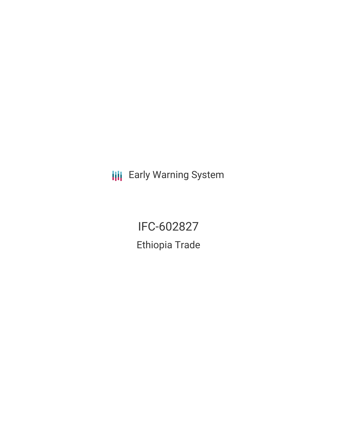**III** Early Warning System

IFC-602827 Ethiopia Trade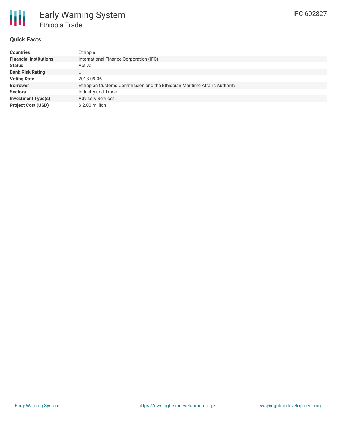

### **Quick Facts**

| <b>Countries</b>              | Ethiopia                                                                  |
|-------------------------------|---------------------------------------------------------------------------|
| <b>Financial Institutions</b> | International Finance Corporation (IFC)                                   |
| <b>Status</b>                 | Active                                                                    |
| <b>Bank Risk Rating</b>       | U                                                                         |
| <b>Voting Date</b>            | 2018-09-06                                                                |
| <b>Borrower</b>               | Ethiopian Customs Commission and the Ethiopian Maritime Affairs Authority |
| <b>Sectors</b>                | Industry and Trade                                                        |
| <b>Investment Type(s)</b>     | <b>Advisory Services</b>                                                  |
| <b>Project Cost (USD)</b>     | \$2.00 million                                                            |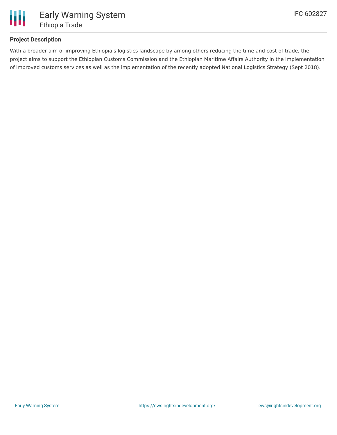

## **Project Description**

With a broader aim of improving Ethiopia's logistics landscape by among others reducing the time and cost of trade, the project aims to support the Ethiopian Customs Commission and the Ethiopian Maritime Affairs Authority in the implementation of improved customs services as well as the implementation of the recently adopted National Logistics Strategy (Sept 2018).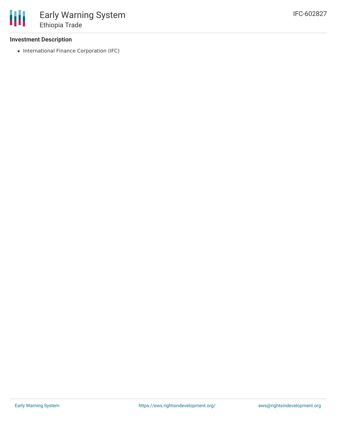## **Investment Description**

• International Finance Corporation (IFC)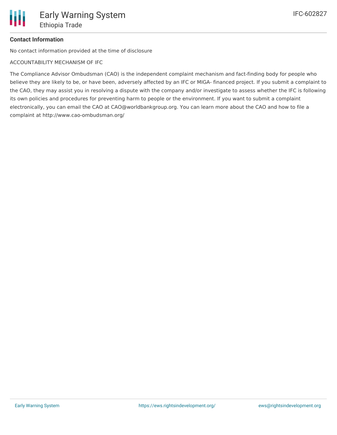# **Contact Information**

No contact information provided at the time of disclosure

ACCOUNTABILITY MECHANISM OF IFC

The Compliance Advisor Ombudsman (CAO) is the independent complaint mechanism and fact-finding body for people who believe they are likely to be, or have been, adversely affected by an IFC or MIGA- financed project. If you submit a complaint to the CAO, they may assist you in resolving a dispute with the company and/or investigate to assess whether the IFC is following its own policies and procedures for preventing harm to people or the environment. If you want to submit a complaint electronically, you can email the CAO at CAO@worldbankgroup.org. You can learn more about the CAO and how to file a complaint at http://www.cao-ombudsman.org/